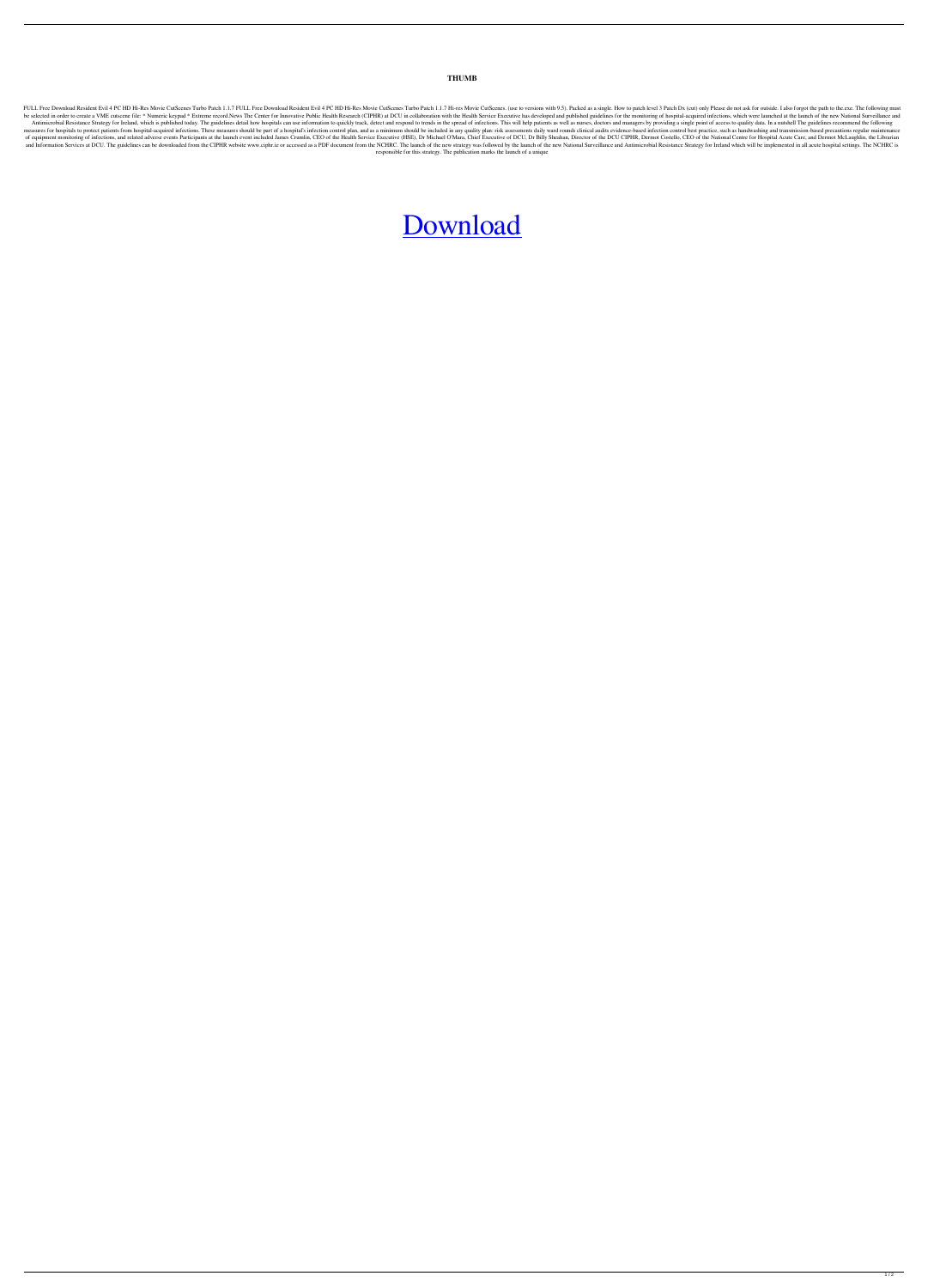## **THUMB**

FULL Free Download Resident Evil 4 PC HD Hi-Res Movie CutScenes Turbo Patch 1.1.7 FULL Free Download Resident Evil 4 PC HD Hi-Res Movie CutScenes Turbo Patch 1.1.7 Hi-res Movie CutScenes Turbo Patch 1.1.7 Hi-res Movie CutS be selected in order to create a VME cutscene file: \* Numeric keypad \* Extreme record.News The Center for Innovative Public Health Research (CIPHR) at DCU in collaboration with the Health Service Executive has developed an Antimicrobial Resistance Strategy for Ireland, which is published today. The guidelines detail how hospitals can use information to quickly track, detect and respond to trends in the spread of infections. This will help pa measures for hospitals to protect patients from hospital-acquired infections. These measures should be part of a hospital's infection control plan, and as a minimum should be included in any quality plan: risk assessments of equipment monitoring of infections, and related adverse events Participants at the launch event included James Crumlin, CEO of the Health Service Executive (HSE), Dr Michael O'Mara, Chief Executive of DCU, Dr Billy Shea and Information Services at DCU. The guidelines can be downloaded from the CIPHR website www.ciphr.ie or accessed as a PDF document from the NCHRC. The launch of the new National Surveillance and Antimicrobial Resistance S responsible for this strategy. The publication marks the launch of a unique

## [Download](http://evacdir.com/accompaniments/ZG93bmxvYWR8eXoyYUdKMGNueDhNVFkxTlRnME1qazRNWHg4TWpVM05IeDhLRTBwSUhKbFlXUXRZbXh2WnlCYlJtRnpkQ0JIUlU1ZA/bosentan.UmVzaWRlbnQgRXZpbCA0IFBDIEhEIEhpLVJlcyBNb3ZpZSBDdXRTY2VuZXMgVHVyYm8gUGF0Y2ggMS4xLjcUmV?madd=waistbands==)